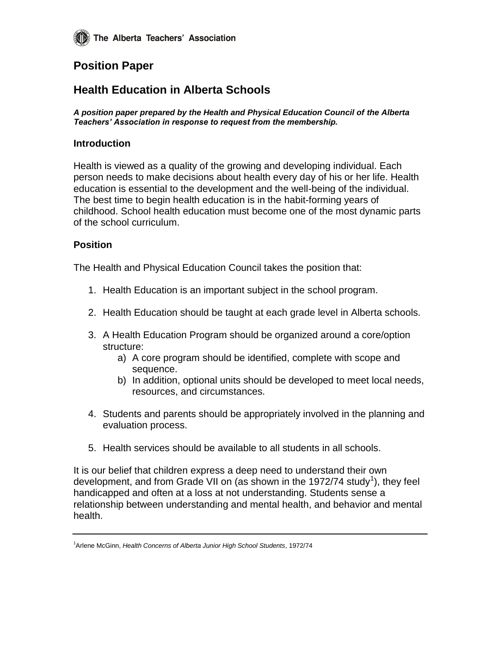# **Position Paper**

# **Health Education in Alberta Schools**

*A position paper prepared by the Health and Physical Education Council of the Alberta Teachers' Association in response to request from the membership.*

## **Introduction**

Health is viewed as a quality of the growing and developing individual. Each person needs to make decisions about health every day of his or her life. Health education is essential to the development and the well-being of the individual. The best time to begin health education is in the habit-forming years of childhood. School health education must become one of the most dynamic parts of the school curriculum.

## **Position**

The Health and Physical Education Council takes the position that:

- 1. Health Education is an important subject in the school program.
- 2. Health Education should be taught at each grade level in Alberta schools.
- 3. A Health Education Program should be organized around a core/option structure:
	- a) A core program should be identified, complete with scope and sequence.
	- b) In addition, optional units should be developed to meet local needs, resources, and circumstances.
- 4. Students and parents should be appropriately involved in the planning and evaluation process.
- 5. Health services should be available to all students in all schools.

It is our belief that children express a deep need to understand their own development, and from Grade VII on (as shown in the 1972/74 study<sup>1</sup>), they feel handicapped and often at a loss at not understanding. Students sense a relationship between understanding and mental health, and behavior and mental health.

<sup>1</sup>Arlene McGinn, *Health Concerns of Alberta Junior High School Students*, 1972/74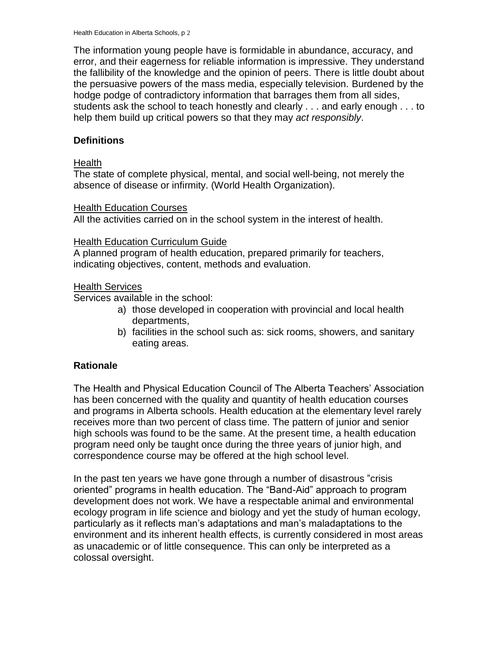The information young people have is formidable in abundance, accuracy, and error, and their eagerness for reliable information is impressive. They understand the fallibility of the knowledge and the opinion of peers. There is little doubt about the persuasive powers of the mass media, especially television. Burdened by the hodge podge of contradictory information that barrages them from all sides, students ask the school to teach honestly and clearly . . . and early enough . . . to help them build up critical powers so that they may *act responsibly*.

## **Definitions**

### **Health**

The state of complete physical, mental, and social well-being, not merely the absence of disease or infirmity. (World Health Organization).

#### Health Education Courses

All the activities carried on in the school system in the interest of health.

### **Health Education Curriculum Guide**

A planned program of health education, prepared primarily for teachers, indicating objectives, content, methods and evaluation.

## Health Services

Services available in the school:

- a) those developed in cooperation with provincial and local health departments,
- b) facilities in the school such as: sick rooms, showers, and sanitary eating areas.

## **Rationale**

The Health and Physical Education Council of The Alberta Teachers' Association has been concerned with the quality and quantity of health education courses and programs in Alberta schools. Health education at the elementary level rarely receives more than two percent of class time. The pattern of junior and senior high schools was found to be the same. At the present time, a health education program need only be taught once during the three years of junior high, and correspondence course may be offered at the high school level.

In the past ten years we have gone through a number of disastrous "crisis oriented" programs in health education. The "Band-Aid" approach to program development does not work. We have a respectable animal and environmental ecology program in life science and biology and yet the study of human ecology, particularly as it reflects man's adaptations and man's maladaptations to the environment and its inherent health effects, is currently considered in most areas as unacademic or of little consequence. This can only be interpreted as a colossal oversight.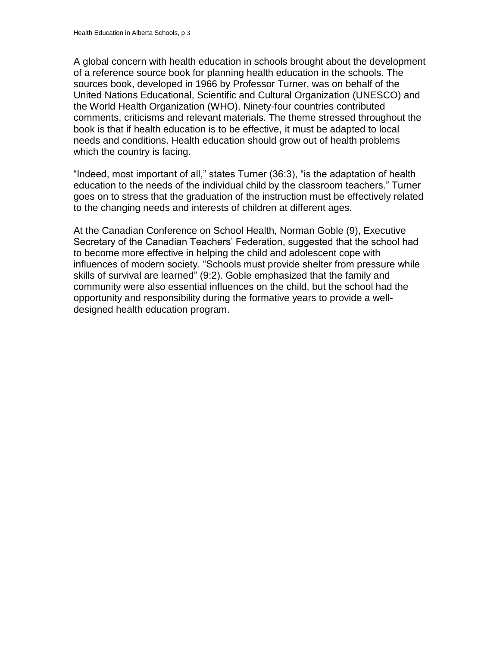A global concern with health education in schools brought about the development of a reference source book for planning health education in the schools. The sources book, developed in 1966 by Professor Turner, was on behalf of the United Nations Educational, Scientific and Cultural Organization (UNESCO) and the World Health Organization (WHO). Ninety-four countries contributed comments, criticisms and relevant materials. The theme stressed throughout the book is that if health education is to be effective, it must be adapted to local needs and conditions. Health education should grow out of health problems which the country is facing.

"Indeed, most important of all," states Turner (36:3), "is the adaptation of health education to the needs of the individual child by the classroom teachers." Turner goes on to stress that the graduation of the instruction must be effectively related to the changing needs and interests of children at different ages.

At the Canadian Conference on School Health, Norman Goble (9), Executive Secretary of the Canadian Teachers' Federation, suggested that the school had to become more effective in helping the child and adolescent cope with influences of modern society. "Schools must provide shelter from pressure while skills of survival are learned" (9:2). Goble emphasized that the family and community were also essential influences on the child, but the school had the opportunity and responsibility during the formative years to provide a welldesigned health education program.